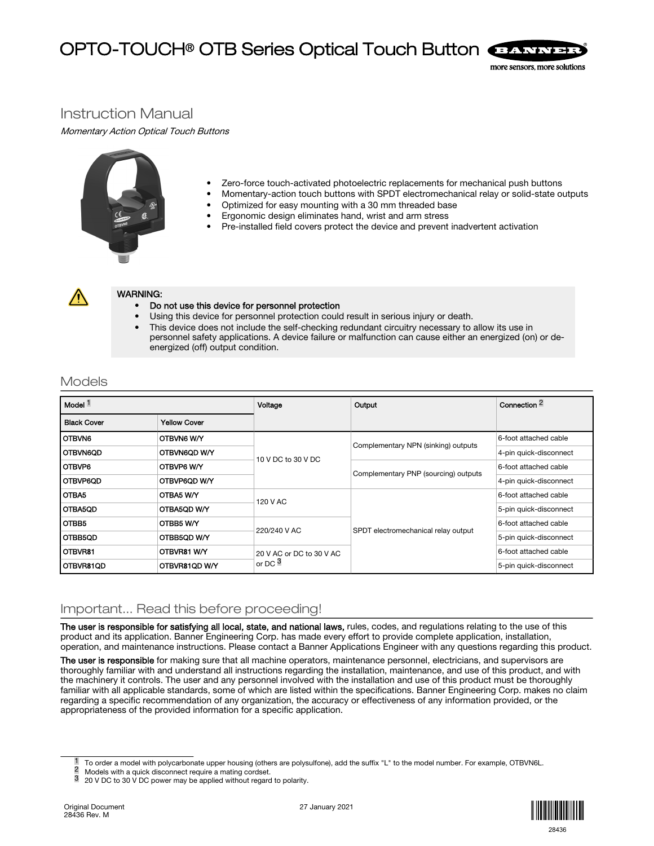# OPTO-TOUCH® OTB Series Optical Touch Button



## Instruction Manual

Momentary Action Optical Touch Buttons



- Zero-force touch-activated photoelectric replacements for mechanical push buttons
- Momentary-action touch buttons with SPDT electromechanical relay or solid-state outputs
- Optimized for easy mounting with a 30 mm threaded base
- Ergonomic design eliminates hand, wrist and arm stress
- Pre-installed field covers protect the device and prevent inadvertent activation



### WARNING:

- Do not use this device for personnel protection
- Using this device for personnel protection could result in serious injury or death.
- This device does not include the self-checking redundant circuitry necessary to allow its use in personnel safety applications. A device failure or malfunction can cause either an energized (on) or deenergized (off) output condition.

## Models

| Model <sup>1</sup> |                     | Voltage                  | Output                               | Connection $\approx$   |
|--------------------|---------------------|--------------------------|--------------------------------------|------------------------|
| <b>Black Cover</b> | <b>Yellow Cover</b> |                          |                                      |                        |
| <b>OTBVN6</b>      | OTBVN6 W/Y          | 10 V DC to 30 V DC       | Complementary NPN (sinking) outputs  | 6-foot attached cable  |
| OONN6OD I          | OTBVN6QD W/Y        |                          |                                      | 4-pin quick-disconnect |
| <b>I OTBVP6</b>    | OTBVP6 W/Y          |                          | Complementary PNP (sourcing) outputs | 6-foot attached cable  |
| l OTBVP6QD         | OTBVP6QD W/Y        |                          |                                      | 4-pin quick-disconnect |
| OTBA5              | OTBA5 W/Y           |                          | SPDT electromechanical relay output  | 6-foot attached cable  |
| OTBA5QD            | OTBA5QD W/Y         | 120 V AC                 |                                      | 5-pin quick-disconnect |
| OTBB5              | OTBB5 W/Y           |                          |                                      | 6-foot attached cable  |
| OTBB5QD            | OTBB5QD W/Y         | 220/240 V AC             |                                      | 5-pin quick-disconnect |
| <b>OTBVR81</b>     | OTBVR81 W/Y         | 20 V AC or DC to 30 V AC |                                      | 6-foot attached cable  |
| OTBVR81QD          | OTBVR81QD W/Y       | or DC $^3$               |                                      | 5-pin quick-disconnect |

## Important... Read this before proceeding!

The user is responsible for satisfying all local, state, and national laws, rules, codes, and regulations relating to the use of this product and its application. Banner Engineering Corp. has made every effort to provide complete application, installation, operation, and maintenance instructions. Please contact a Banner Applications Engineer with any questions regarding this product.

The user is responsible for making sure that all machine operators, maintenance personnel, electricians, and supervisors are thoroughly familiar with and understand all instructions regarding the installation, maintenance, and use of this product, and with the machinery it controls. The user and any personnel involved with the installation and use of this product must be thoroughly familiar with all applicable standards, some of which are listed within the specifications. Banner Engineering Corp. makes no claim regarding a specific recommendation of any organization, the accuracy or effectiveness of any information provided, or the appropriateness of the provided information for a specific application.



To order a model with polycarbonate upper housing (others are polysulfone), add the suffix "L" to the model number. For example, OTBVN6L.

<sup>&</sup>lt;sup>2</sup> Models with a quick disconnect require a mating cordset.<br><sup>3</sup> 20 V DC to 30 V DC power may be applied without regard

<sup>3</sup> 20 V DC to 30 V DC power may be applied without regard to polarity.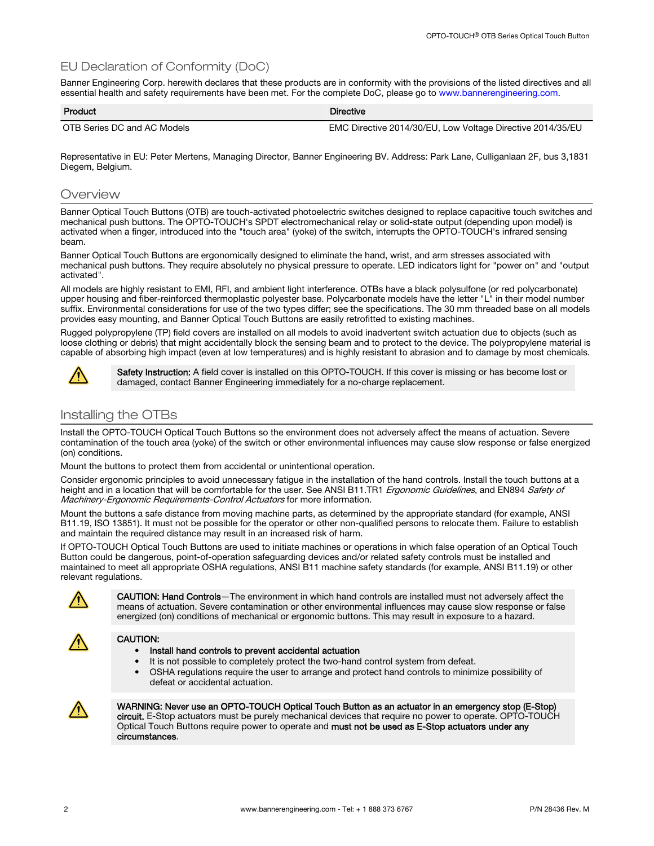## EU Declaration of Conformity (DoC)

Banner Engineering Corp. herewith declares that these products are in conformity with the provisions of the listed directives and all essential health and safety requirements have been met. For the complete DoC, please go to [www.bannerengineering.com.](http://www.bannerengineering.com)

| Product                     | <b>Directive</b>                                           |
|-----------------------------|------------------------------------------------------------|
| OTB Series DC and AC Models | EMC Directive 2014/30/EU, Low Voltage Directive 2014/35/EU |

Representative in EU: Peter Mertens, Managing Director, Banner Engineering BV. Address: Park Lane, Culliganlaan 2F, bus 3,1831 Diegem, Belgium.

### **Overview**

Banner Optical Touch Buttons (OTB) are touch-activated photoelectric switches designed to replace capacitive touch switches and mechanical push buttons. The OPTO-TOUCH's SPDT electromechanical relay or solid-state output (depending upon model) is activated when a finger, introduced into the "touch area" (yoke) of the switch, interrupts the OPTO-TOUCH's infrared sensing beam.

Banner Optical Touch Buttons are ergonomically designed to eliminate the hand, wrist, and arm stresses associated with mechanical push buttons. They require absolutely no physical pressure to operate. LED indicators light for "power on" and "output activated".

All models are highly resistant to EMI, RFI, and ambient light interference. OTBs have a black polysulfone (or red polycarbonate) upper housing and fiber-reinforced thermoplastic polyester base. Polycarbonate models have the letter "L" in their model number suffix. Environmental considerations for use of the two types differ; see the specifications. The 30 mm threaded base on all models provides easy mounting, and Banner Optical Touch Buttons are easily retrofitted to existing machines.

Rugged polypropylene (TP) field covers are installed on all models to avoid inadvertent switch actuation due to objects (such as loose clothing or debris) that might accidentally block the sensing beam and to protect to the device. The polypropylene material is capable of absorbing high impact (even at low temperatures) and is highly resistant to abrasion and to damage by most chemicals.



Safety Instruction: A field cover is installed on this OPTO-TOUCH. If this cover is missing or has become lost or damaged, contact Banner Engineering immediately for a no-charge replacement.

## Installing the OTBs

Install the OPTO-TOUCH Optical Touch Buttons so the environment does not adversely affect the means of actuation. Severe contamination of the touch area (yoke) of the switch or other environmental influences may cause slow response or false energized (on) conditions.

Mount the buttons to protect them from accidental or unintentional operation.

Consider ergonomic principles to avoid unnecessary fatigue in the installation of the hand controls. Install the touch buttons at a height and in a location that will be comfortable for the user. See ANSI B11.TR1 Ergonomic Guidelines, and EN894 Safety of Machinery-Ergonomic Requirements-Control Actuators for more information.

Mount the buttons a safe distance from moving machine parts, as determined by the appropriate standard (for example, ANSI B11.19, ISO 13851). It must not be possible for the operator or other non-qualified persons to relocate them. Failure to establish and maintain the required distance may result in an increased risk of harm.

If OPTO-TOUCH Optical Touch Buttons are used to initiate machines or operations in which false operation of an Optical Touch Button could be dangerous, point-of-operation safeguarding devices and/or related safety controls must be installed and maintained to meet all appropriate OSHA regulations, ANSI B11 machine safety standards (for example, ANSI B11.19) or other relevant regulations.



CAUTION: Hand Controls—The environment in which hand controls are installed must not adversely affect the means of actuation. Severe contamination or other environmental influences may cause slow response or false energized (on) conditions of mechanical or ergonomic buttons. This may result in exposure to a hazard.



### CAUTION:

### • Install hand controls to prevent accidental actuation

- It is not possible to completely protect the two-hand control system from defeat.
- OSHA regulations require the user to arrange and protect hand controls to minimize possibility of defeat or accidental actuation.



WARNING: Never use an OPTO-TOUCH Optical Touch Button as an actuator in an emergency stop (E-Stop) circuit. E-Stop actuators must be purely mechanical devices that require no power to operate. OPTO-TOUCH Optical Touch Buttons require power to operate and must not be used as E-Stop actuators under any circumstances.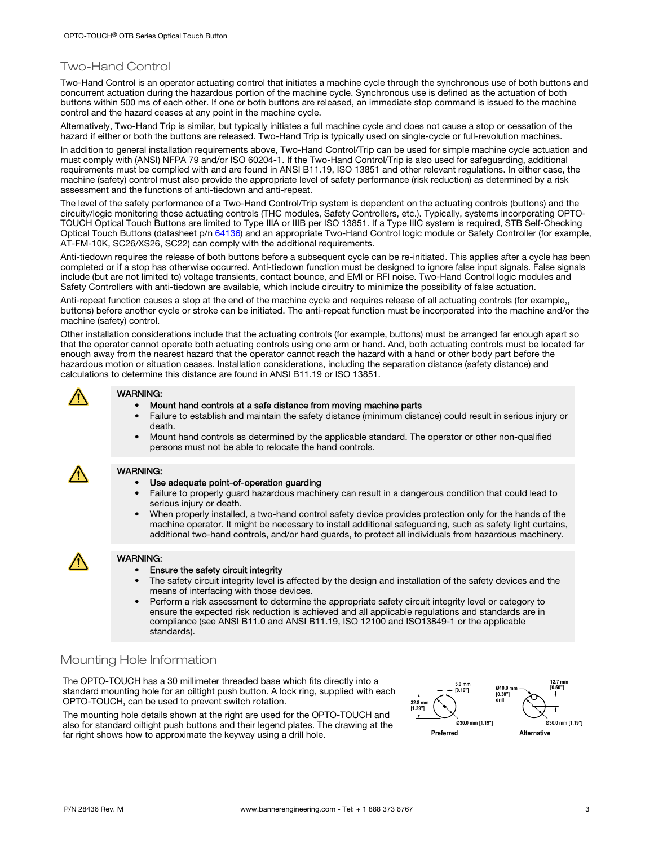## Two-Hand Control

Two-Hand Control is an operator actuating control that initiates a machine cycle through the synchronous use of both buttons and concurrent actuation during the hazardous portion of the machine cycle. Synchronous use is defined as the actuation of both buttons within 500 ms of each other. If one or both buttons are released, an immediate stop command is issued to the machine control and the hazard ceases at any point in the machine cycle.

Alternatively, Two-Hand Trip is similar, but typically initiates a full machine cycle and does not cause a stop or cessation of the hazard if either or both the buttons are released. Two-Hand Trip is typically used on single-cycle or full-revolution machines.

In addition to general installation requirements above, Two-Hand Control/Trip can be used for simple machine cycle actuation and must comply with (ANSI) NFPA 79 and/or ISO 60204-1. If the Two-Hand Control/Trip is also used for safeguarding, additional requirements must be complied with and are found in ANSI B11.19, ISO 13851 and other relevant regulations. In either case, the machine (safety) control must also provide the appropriate level of safety performance (risk reduction) as determined by a risk assessment and the functions of anti-tiedown and anti-repeat.

The level of the safety performance of a Two-Hand Control/Trip system is dependent on the actuating controls (buttons) and the circuity/logic monitoring those actuating controls (THC modules, Safety Controllers, etc.). Typically, systems incorporating OPTO-TOUCH Optical Touch Buttons are limited to Type IIIA or IIIB per ISO 13851. If a Type IIIC system is required, STB Self-Checking Optical Touch Buttons (datasheet p/n [64136](http://info.bannersalesforce.com/cs/idcplg?IdcService=GET_FILE&dDocName=64136&RevisionSelectionMethod=Latest&Rendition=web)) and an appropriate Two-Hand Control logic module or Safety Controller (for example, AT-FM-10K, SC26/XS26, SC22) can comply with the additional requirements.

Anti-tiedown requires the release of both buttons before a subsequent cycle can be re-initiated. This applies after a cycle has been completed or if a stop has otherwise occurred. Anti-tiedown function must be designed to ignore false input signals. False signals include (but are not limited to) voltage transients, contact bounce, and EMI or RFI noise. Two-Hand Control logic modules and Safety Controllers with anti-tiedown are available, which include circuitry to minimize the possibility of false actuation.

Anti-repeat function causes a stop at the end of the machine cycle and requires release of all actuating controls (for example,, buttons) before another cycle or stroke can be initiated. The anti-repeat function must be incorporated into the machine and/or the machine (safety) control.

Other installation considerations include that the actuating controls (for example, buttons) must be arranged far enough apart so that the operator cannot operate both actuating controls using one arm or hand. And, both actuating controls must be located far enough away from the nearest hazard that the operator cannot reach the hazard with a hand or other body part before the hazardous motion or situation ceases. Installation considerations, including the separation distance (safety distance) and calculations to determine this distance are found in ANSI B11.19 or ISO 13851.



### WARNING:

- Mount hand controls at a safe distance from moving machine parts
- Failure to establish and maintain the safety distance (minimum distance) could result in serious injury or death.
- Mount hand controls as determined by the applicable standard. The operator or other non-qualified persons must not be able to relocate the hand controls.

### WARNING:

- Use adequate point-of-operation guarding
- Failure to properly guard hazardous machinery can result in a dangerous condition that could lead to serious injury or death.
- When properly installed, a two-hand control safety device provides protection only for the hands of the machine operator. It might be necessary to install additional safeguarding, such as safety light curtains, additional two-hand controls, and/or hard guards, to protect all individuals from hazardous machinery.



### WARNING:

- Ensure the safety circuit integrity
- The safety circuit integrity level is affected by the design and installation of the safety devices and the means of interfacing with those devices.
- Perform a risk assessment to determine the appropriate safety circuit integrity level or category to ensure the expected risk reduction is achieved and all applicable regulations and standards are in compliance (see ANSI B11.0 and ANSI B11.19, ISO 12100 and ISO13849-1 or the applicable standards).

## Mounting Hole Information

The OPTO-TOUCH has a 30 millimeter threaded base which fits directly into a standard mounting hole for an oiltight push button. A lock ring, supplied with each OPTO-TOUCH, can be used to prevent switch rotation.

The mounting hole details shown at the right are used for the OPTO-TOUCH and also for standard oiltight push buttons and their legend plates. The drawing at the far right shows how to approximate the keyway using a drill hole. **Preferred Preferred Alternative** 

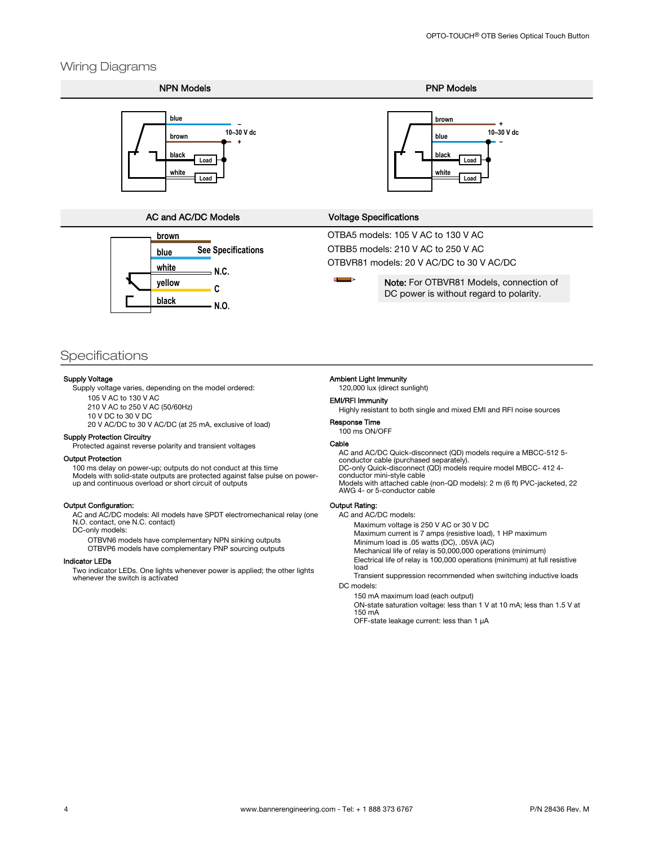### Wiring Diagrams



NPN Models **PNP Models** 



### AC and AC/DC Models Voltage Specifications



OTBA5 models: 105 V AC to 130 V AC OTBB5 models: 210 V AC to 250 V AC OTBVR81 models: 20 V AC/DC to 30 V AC/DC

> Note: For OTBVR81 Models, connection of DC power is without regard to polarity.

### **Specifications**

### Supply Voltage

Supply voltage varies, depending on the model ordered:

105 V AC to 130 V AC

210 V AC to 250 V AC (50/60Hz) 10 V DC to 30 V DC

20 V AC/DC to 30 V AC/DC (at 25 mA, exclusive of load)

#### Supply Protection Circuitry

Protected against reverse polarity and transient voltages

#### Output Protection

100 ms delay on power-up; outputs do not conduct at this time Models with solid-state outputs are protected against false pulse on power-up and continuous overload or short circuit of outputs

#### Output Configuration:

AC and AC/DC models: All models have SPDT electromechanical relay (one N.O. contact, one N.C. contact)

DC-only models:

OTBVN6 models have complementary NPN sinking outputs OTBVP6 models have complementary PNP sourcing outputs

#### Indicator LEDs

Two indicator LEDs. One lights whenever power is applied; the other lights whenever the switch is activated

#### Ambient Light Immunity

120,000 lux (direct sunlight)

#### EMI/RFI Immunity

Highly resistant to both single and mixed EMI and RFI noise sources

Response Time 100 ms ON/OFF

#### Cable

AC and AC/DC Quick-disconnect (QD) models require a MBCC-512 5- conductor cable (purchased separately). DC-only Quick-disconnect (QD) models require model MBCC- 412 4 conductor mini-style cable

Models with attached cable (non-QD models): 2 m (6 ft) PVC-jacketed, 22 AWG 4- or 5-conductor cable

### Output Rating:

AC and AC/DC models:

Maximum voltage is 250 V AC or 30 V DC

Maximum current is 7 amps (resistive load), 1 HP maximum

Minimum load is .05 watts (DC), .05VA (AC)

Mechanical life of relay is 50,000,000 operations (minimum) Electrical life of relay is 100,000 operations (minimum) at full resistive load

Transient suppression recommended when switching inductive loads DC models:

150 mA maximum load (each output) ON-state saturation voltage: less than 1 V at 10 mA; less than 1.5 V at 150 mA

OFF-state leakage current: less than 1 µA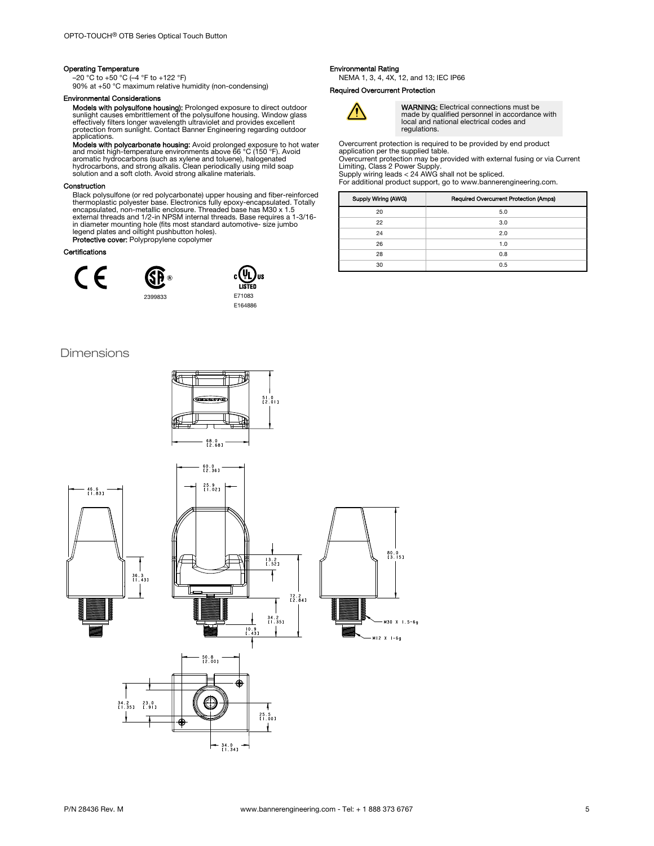### Operating Temperature

–20 °C to +50 °C (–4 °F to +122 °F) 90% at +50 °C maximum relative humidity (non-condensing)

### Environmental Considerations

**Models with polysulfone housing):** Prolonged exposure to direct outdoor<br>sunlight causes embrittlement of the polysulfone housing. Window glass<br>effectively filters longer wavelength ultraviolet and provides excellent<br>prote applications.

**Models with polycarbonate housing:** Avoid prolonged exposure to hot water<br>and moist high-temperature environments above 66 °C (150 °F). Avoid<br>aromatic hydrocarbons (such as xylene and toluene), halogenated<br>hydrocarbons, a

### Construction

Black polysulfone (or red polycarbonate) upper housing and fiber-reinforced<br>thermoplastic polysetre base. Electronics fully epoxy-encapsulated, Totally<br>encapsulated, non-metallic enclosure. Threaded base has M30 x 1.5<br>exte Protective cover: Polypropylene copolymer

#### Certifications







Dimensions



### Environmental Rating

NEMA 1, 3, 4, 4X, 12, and 13; IEC IP66

### Required Overcurrent Protection



WARNING: Electrical connections must be made by qualified personnel in accordance with local and national electrical codes and regulations.

Overcurrent protection is required to be provided by end product application per the supplied table. Overcurrent protection may be provided with external fusing or via Current Limiting, Class 2 Power Supply. Supply wiring leads < 24 AWG shall not be spliced.

For additional product support, go to www.bannerengineering.com.

| Supply Wiring (AWG) | Required Overcurrent Protection (Amps) |
|---------------------|----------------------------------------|
| 20                  | 5.0                                    |
| 22                  | 3.0                                    |
| 24                  | 2.0                                    |
| 26                  | 1.0                                    |
| 28                  | 0.8                                    |
| 30                  | 0.5                                    |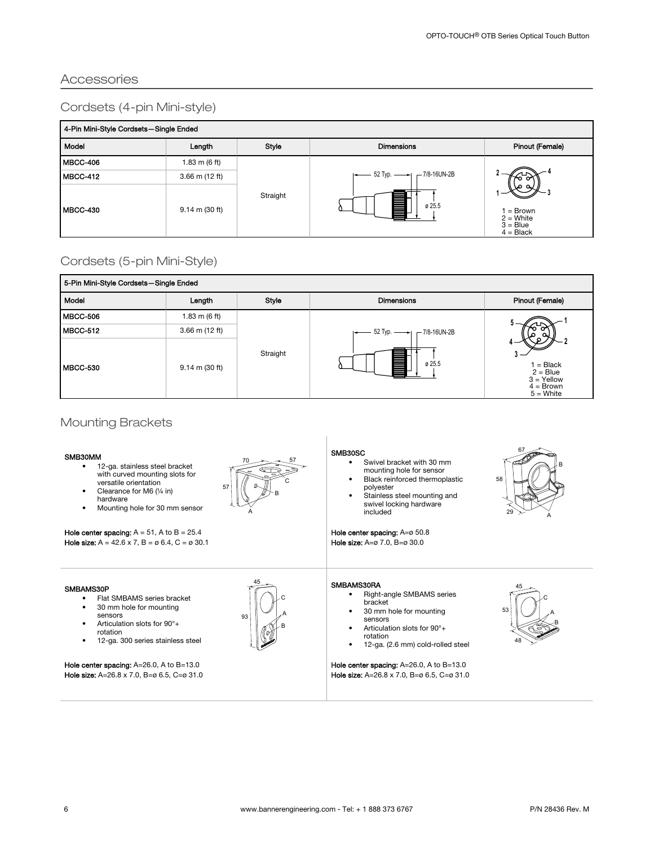## Accessories

## Cordsets (4-pin Mini-style)

| 4-Pin Mini-Style Cordsets-Single Ended |                         |          |                                                         |                                                     |  |
|----------------------------------------|-------------------------|----------|---------------------------------------------------------|-----------------------------------------------------|--|
| Model                                  | Length                  | Style    | <b>Dimensions</b>                                       | Pinout (Female)                                     |  |
| MBCC-406                               | $1.83 \text{ m}$ (6 ft) | Straight | $\leftarrow$ 52 Typ. $\leftarrow$ 7/8-16UN-2B<br>ø 25.5 | = Brown<br>$2 =$ White<br>$3 = Blue$<br>$4 = Black$ |  |
| MBCC-412                               | $3.66$ m (12 ft)        |          |                                                         |                                                     |  |
| MBCC-430                               | 9.14 m (30 ft)          |          |                                                         |                                                     |  |

## Cordsets (5-pin Mini-Style)

| 5-Pin Mini-Style Cordsets-Single Ended |                  |          |                                          |                                                                       |
|----------------------------------------|------------------|----------|------------------------------------------|-----------------------------------------------------------------------|
| Model                                  | Length           | Style    | <b>Dimensions</b>                        | Pinout (Female)                                                       |
| MBCC-506                               | 1.83 m $(6 ft)$  | Straight | 52 Typ. -<br>$-7/8 - 16$ UN-2B<br>ø 25.5 |                                                                       |
| MBCC-512                               | $3.66$ m (12 ft) |          |                                          |                                                                       |
| MBCC-530                               | 9.14 m (30 ft)   |          |                                          | $=$ Black<br>$2 = Blue$<br>$3 =$ Yellow<br>$4 = Brown$<br>$5 =$ White |

## Mounting Brackets

### SMB30MM

- 12-ga. stainless steel bracket with curved mounting slots for versatile orientation
- Clearance for M6 (¼ in) hardware
- Mounting hole for 30 mm sensor

Hole center spacing:  $A = 51$ , A to  $B = 25.4$ **Hole size:**  $A = 42.6 \times 7$ ,  $B = \emptyset 6.4$ ,  $C = \emptyset 30.1$ 

### SMBAMS30P

- Flat SMBAMS series bracket<br>• 30 mm hole for mounting
- 30 mm hole for mounting sensors
- Articulation slots for 90°+ rotation
- 12-ga. 300 series stainless steel

Hole center spacing: A=26.0, A to B=13.0 Hole size: A=26.8 x 7.0, B=ø 6.5, C=ø 31.0



45

93  $\sim A$ 

C

B

### SMB30SC

- Swivel bracket with 30 mm mounting hole for sensor Black reinforced thermoplastic
- polyester Stainless steel mounting and swivel locking hardware

included Hole center spacing: A=ø 50.8

Hole size: A=ø 7.0, B=ø 30.0



- Right-angle SMBAMS series bracket
- 30 mm hole for mounting sensors
- Articulation slots for 90°+ rotation
- 12-ga. (2.6 mm) cold-rolled steel

Hole center spacing: A=26.0, A to B=13.0 Hole size: A=26.8 x 7.0, B=ø 6.5, C=ø 31.0



 $67 -$ 

B

A

58

29  $\,{}^>$